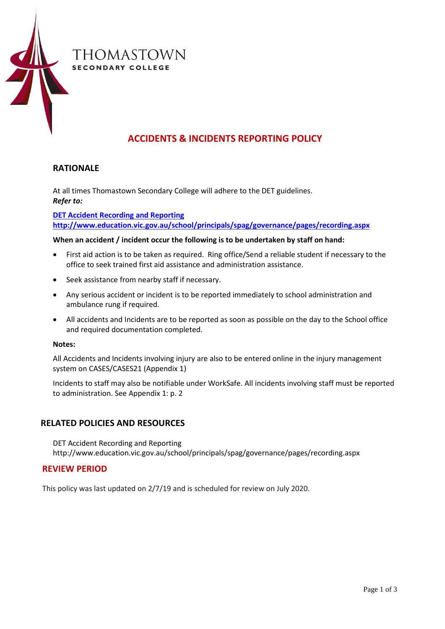

# **ACCIDENTS & INCIDENTS REPORTING POLICY**

## **RATIONALE**

At all times Thomastown Secondary College will adhere to the DET guidelines. *Refer to:* 

**[DET Accident Recording and Reporting](http://www.education.vic.gov.au/school/principals/spag/governance/pages/recording.aspx) [http://www.education.vic.gov.au/school/principals/spag/governance/pages/recording.aspx](http://www.education.vic.gov.au/school/principals/spag/governance/pages/recordin%20g.aspx)**

## **When an accident / incident occur the following is to be undertaken by staff on hand:**

- First aid action is to be taken as required. Ring office/Send a reliable student if necessary to the office to seek trained first aid assistance and administration assistance.
- Seek assistance from nearby staff if necessary.
- Any serious accident or incident is to be reported immediately to school administration and ambulance rung if required.
- All accidents and Incidents are to be reported as soon as possible on the day to the School office and required documentation completed.

### **Notes:**

All Accidents and Incidents involving injury are also to be entered online in the injury management system on CASES/CASES21 (Appendix 1)

Incidents to staff may also be notifiable under WorkSafe. All incidents involving staff must be reported to administration. See Appendix 1: p. 2

## **RELATED POLICIES AND RESOURCES**

[DET Accident Recording and Reporting](http://www.education.vic.gov.au/school/principals/spag/governance/pages/recording.aspx) [http://www.education.vic.gov.au/school/principals/spag/governance/pages/recording.aspx](http://www.education.vic.gov.au/school/principals/spag/governance/pages/recordin%20g.aspx)

## **REVIEW PERIOD**

This policy was last updated on 2/7/19 and is scheduled for review on July 2020.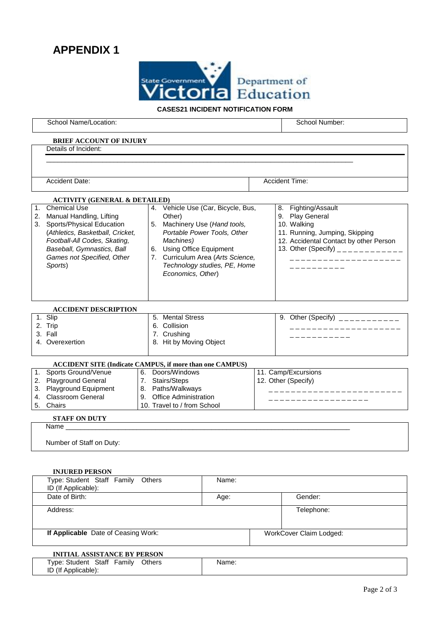# **APPENDIX 1**



## **CASES21 INCIDENT NOTIFICATION FORM**

|    | School Name/Location:                                                                                                                                                                                                         |                                                                                                                                                                                                                                                  |  | School Number:                                                                                                                                                                                               |  |  |
|----|-------------------------------------------------------------------------------------------------------------------------------------------------------------------------------------------------------------------------------|--------------------------------------------------------------------------------------------------------------------------------------------------------------------------------------------------------------------------------------------------|--|--------------------------------------------------------------------------------------------------------------------------------------------------------------------------------------------------------------|--|--|
|    | <b>BRIEF ACCOUNT OF INJURY</b>                                                                                                                                                                                                |                                                                                                                                                                                                                                                  |  |                                                                                                                                                                                                              |  |  |
|    | Details of Incident:                                                                                                                                                                                                          |                                                                                                                                                                                                                                                  |  |                                                                                                                                                                                                              |  |  |
|    |                                                                                                                                                                                                                               |                                                                                                                                                                                                                                                  |  |                                                                                                                                                                                                              |  |  |
|    |                                                                                                                                                                                                                               |                                                                                                                                                                                                                                                  |  |                                                                                                                                                                                                              |  |  |
|    | <b>Accident Date:</b>                                                                                                                                                                                                         |                                                                                                                                                                                                                                                  |  | Accident Time:                                                                                                                                                                                               |  |  |
|    | <b>ACTIVITY (GENERAL &amp; DETAILED)</b>                                                                                                                                                                                      |                                                                                                                                                                                                                                                  |  |                                                                                                                                                                                                              |  |  |
| 1. | <b>Chemical Use</b><br>2. Manual Handling, Lifting<br>3. Sports/Physical Education<br>(Athletics, Basketball, Cricket,<br>Football-All Codes, Skating,<br>Baseball, Gymnastics, Ball<br>Games not Specified, Other<br>Sports) | 4. Vehicle Use (Car, Bicycle, Bus,<br>Other)<br>5. Machinery Use (Hand tools,<br>Portable Power Tools, Other<br>Machines)<br>6. Using Office Equipment<br>7. Curriculum Area (Arts Science,<br>Technology studies, PE, Home<br>Economics, Other) |  | 8. Fighting/Assault<br>9. Play General<br>10. Walking<br>11. Running, Jumping, Skipping<br>12. Accidental Contact by other Person<br>13. Other (Specify) ____________<br>_____________________<br>---------- |  |  |
|    | <b>ACCIDENT DESCRIPTION</b>                                                                                                                                                                                                   |                                                                                                                                                                                                                                                  |  |                                                                                                                                                                                                              |  |  |
|    | 1. Slip<br>2. Trip<br>3. Fall<br>4. Overexertion                                                                                                                                                                              | 5. Mental Stress<br>6. Collision<br>7. Crushing<br>8. Hit by Moving Object                                                                                                                                                                       |  | 9. Other (Specify) $\frac{1}{2}$ = $\frac{1}{2}$ = $\frac{1}{2}$ = $\frac{1}{2}$ = $\frac{1}{2}$ = $\frac{1}{2}$ = $\frac{1}{2}$                                                                             |  |  |
|    | <b>ACCIDENT SITE (Indicate CAMPUS, if more than one CAMPUS)</b>                                                                                                                                                               |                                                                                                                                                                                                                                                  |  |                                                                                                                                                                                                              |  |  |
| 1. | Sports Ground/Venue<br>2. Playground General<br>3. Playground Equipment<br>4. Classroom General<br>5. Chairs                                                                                                                  | 6. Doors/Windows<br>7. Stairs/Steps<br>8. Paths/Walkways<br>9. Office Administration<br>10. Travel to / from School                                                                                                                              |  | 11. Camp/Excursions<br>12. Other (Specify)<br>______________<br>------------------                                                                                                                           |  |  |
|    | <b>STAFF ON DUTY</b>                                                                                                                                                                                                          |                                                                                                                                                                                                                                                  |  |                                                                                                                                                                                                              |  |  |
|    | Name <b>Name</b>                                                                                                                                                                                                              |                                                                                                                                                                                                                                                  |  |                                                                                                                                                                                                              |  |  |
|    | Number of Staff on Duty:                                                                                                                                                                                                      |                                                                                                                                                                                                                                                  |  |                                                                                                                                                                                                              |  |  |
|    | <b>INJURED PERSON</b><br>Type: Student Staff Family                                                                                                                                                                           | <b>Others</b><br>Name:                                                                                                                                                                                                                           |  |                                                                                                                                                                                                              |  |  |

ID (If Applicable): Date of Birth: Gender: Age: Age: Gender: Gender: Gender: Gender: Gender: Gender: Gender: Gender: Gender: Gender Address: Telephone: Telephone: Telephone: Telephone: Telephone: Telephone: Telephone: Telephone: Telephone: Telephone: Telephone: Telephone: Telephone: Telephone: Telephone: Telephone: Telephone: Telephone: Telephone: Tele **If Applicable** Date of Ceasing Work: WorkCover Claim Lodged: **INITIAL ASSISTANCE BY PERSON**

#### Type: Student Staff Family Others ID (If Applicable): Name: